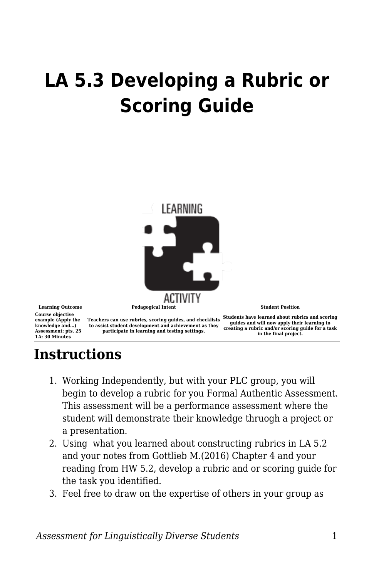## **LA 5.3 Developing a Rubric or Scoring Guide**



## **Instructions**

- 1. Working Independently, but with your PLC group, you will begin to develop a rubric for you Formal Authentic Assessment. This assessment will be a performance assessment where the student will demonstrate their knowledge thruogh a project or a presentation.
- 2. Using what you learned about constructing rubrics in LA 5.2 and your notes from Gottlieb M.(2016) Chapter 4 and your reading from HW 5.2, develop a rubric and or scoring guide for the task you identified.
- 3. Feel free to draw on the expertise of others in your group as